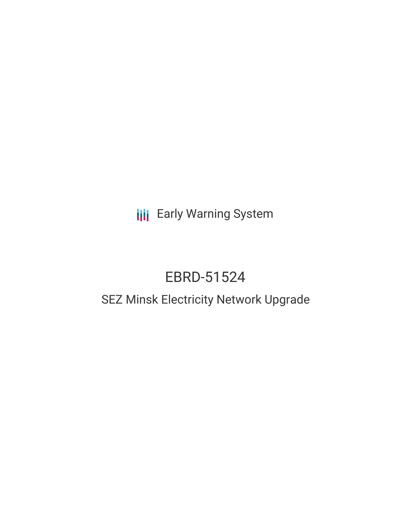**III** Early Warning System

# EBRD-51524

# SEZ Minsk Electricity Network Upgrade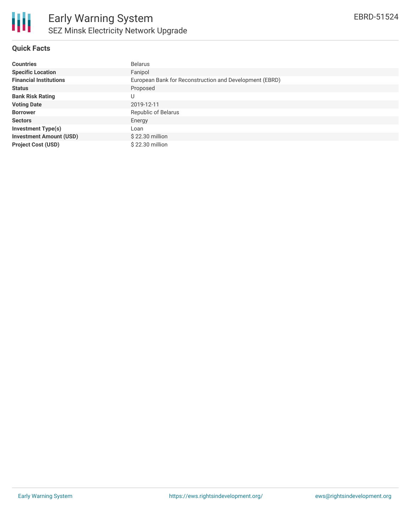

## **Quick Facts**

| <b>Countries</b>               | <b>Belarus</b>                                          |
|--------------------------------|---------------------------------------------------------|
| <b>Specific Location</b>       | Fanipol                                                 |
| <b>Financial Institutions</b>  | European Bank for Reconstruction and Development (EBRD) |
| <b>Status</b>                  | Proposed                                                |
| <b>Bank Risk Rating</b>        | U                                                       |
| <b>Voting Date</b>             | 2019-12-11                                              |
| <b>Borrower</b>                | Republic of Belarus                                     |
| <b>Sectors</b>                 | Energy                                                  |
| <b>Investment Type(s)</b>      | Loan                                                    |
| <b>Investment Amount (USD)</b> | \$22.30 million                                         |
| <b>Project Cost (USD)</b>      | \$22.30 million                                         |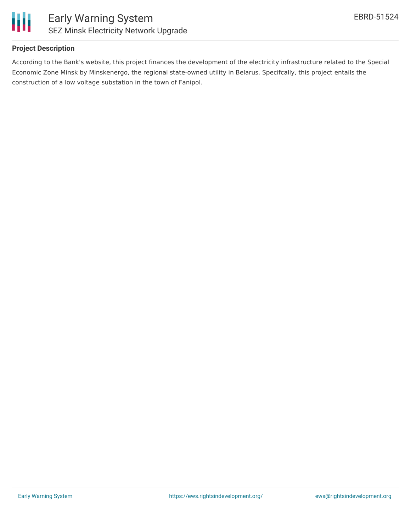

#### **Project Description**

According to the Bank's website, this project finances the development of the electricity infrastructure related to the Special Economic Zone Minsk by Minskenergo, the regional state-owned utility in Belarus. Specifcally, this project entails the construction of a low voltage substation in the town of Fanipol.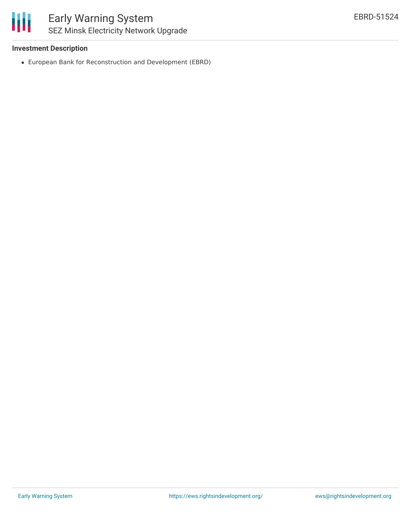#### **Investment Description**

European Bank for Reconstruction and Development (EBRD)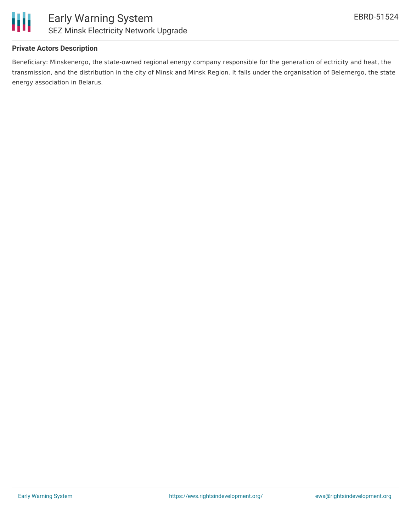

#### **Private Actors Description**

Beneficiary: Minskenergo, the state-owned regional energy company responsible for the generation of ectricity and heat, the transmission, and the distribution in the city of Minsk and Minsk Region. It falls under the organisation of Belernergo, the state energy association in Belarus.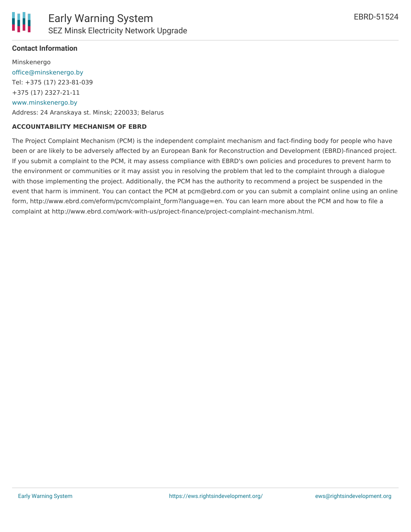## **Contact Information**

Minskenergo [office@minskenergo.by](mailto:office@minskenergo.by) Tel: +375 (17) 223-81-039 +375 (17) 2327-21-11 [www.minskenergo.by](http://www.minskenergo.by/) Address: 24 Aranskaya st. Minsk; 220033; Belarus

#### **ACCOUNTABILITY MECHANISM OF EBRD**

The Project Complaint Mechanism (PCM) is the independent complaint mechanism and fact-finding body for people who have been or are likely to be adversely affected by an European Bank for Reconstruction and Development (EBRD)-financed project. If you submit a complaint to the PCM, it may assess compliance with EBRD's own policies and procedures to prevent harm to the environment or communities or it may assist you in resolving the problem that led to the complaint through a dialogue with those implementing the project. Additionally, the PCM has the authority to recommend a project be suspended in the event that harm is imminent. You can contact the PCM at pcm@ebrd.com or you can submit a complaint online using an online form, http://www.ebrd.com/eform/pcm/complaint\_form?language=en. You can learn more about the PCM and how to file a complaint at http://www.ebrd.com/work-with-us/project-finance/project-complaint-mechanism.html.